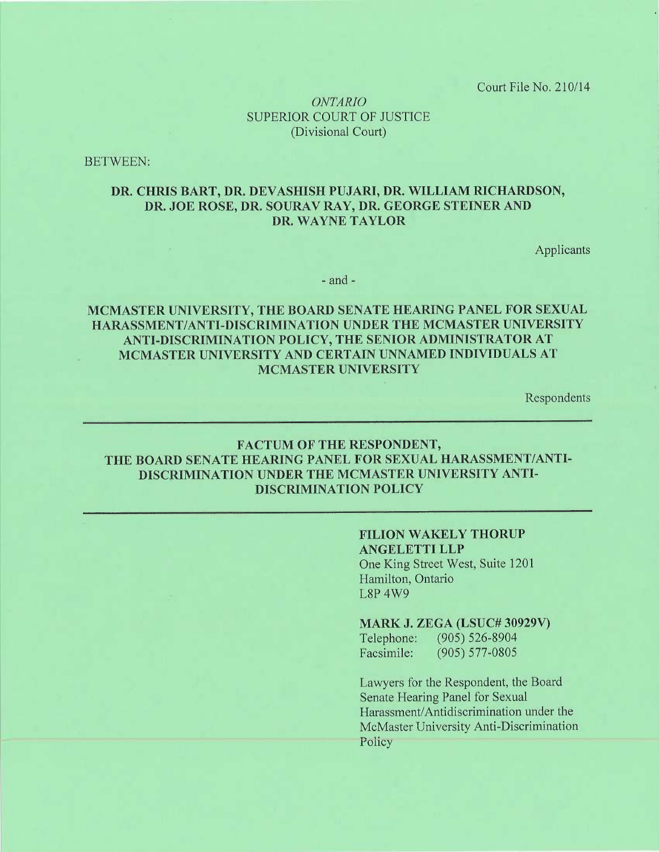Court File No. 210/14

# ONTARIO SUPERIOR COURT OF JUSTICE (Divisional Court)

BETWEEN:

# DR. CHRIS BART, DR. DEVASHISH PUJARI, DR. WILLIAM RICHARDSON, DR. JOE ROSE, DR. SOURAV RAY, DR. GEORGE STEINER AND DR. WAYNE TAYLOR

Applicants

 $-$  and  $-$ 

# MCMASTER UNIVERSITY, THE BOARD SENATE HEARING PANEL FOR SEXUAL HARASSMENT/ANTI-DISCRIMINATION UNDER THE MCMASTER UNIVERSITY ANTI-DISCRIMINATION POLICY, THE SENIOR ADMINISTRATOR AT MCMASTER UNIVERSITY AND CERTAIN UNNAMED INDIVIDUALS AT MCMASTER UNIVERSITY

Respondents

## FACTUM OF THE RESPONDENT, THE BOARD SENATE HEARING PANEL FOR SEXUAL HARASSMENT/ANTI-DISCRIMINATION UNDER THE MCMASTER UNIVERSITY ANTI-DISCRIMINATION POLICY

## FILION WAKELY THORUP ANGELETTILLP

One King Street West, Suite 1201 Hamilton, Ontario L8P 4W9

## MARK J. ZEGA (LSUC# 30929V)

Telephone: (905) 526-8904 Facsimile: (905) 577-0805

Lawyers for the Respondent, the Board Senate Hearing Panel for Sexual Harassment/Antidiscrimination under the McMaster University Anti-Discrimination Policy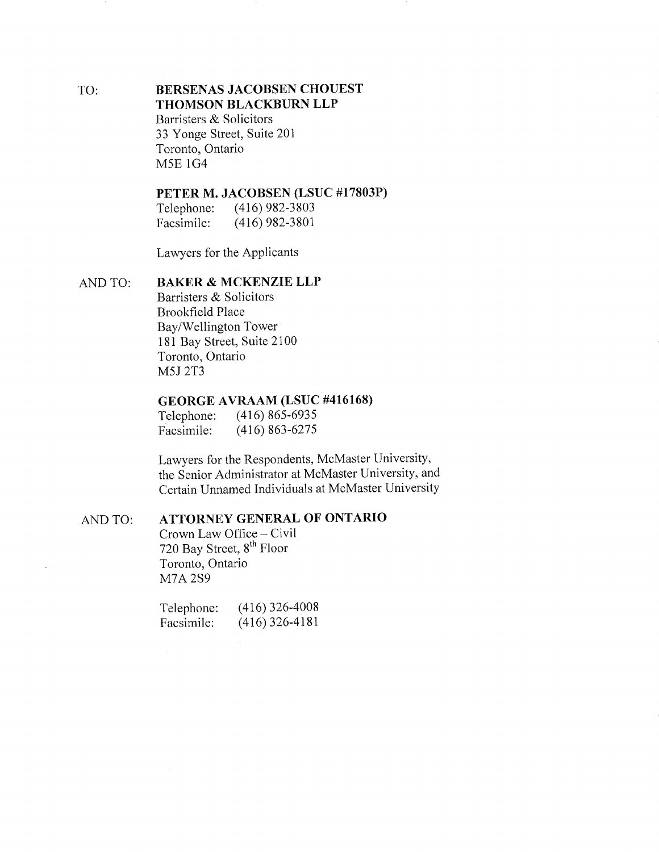TO: BERSENAS JACOBSEN CHOUEST THOMSON BLACKBURN LLP Barristers & Solicitors 33 Yonge Street, Suite 201

Toronto, Ontario MSE 1G4

# PETER M. JACOBSEN (LSUC #17803P)

Telephone: (416) 982-3803 Facsimile: (416) 982-3801

Lawyers for the Applicants

## AND TO: BAKER & MCKENZIE LLP

Barristers & Solicitors Brookfield Place Bay/Wellington Tower 181 Bay Street, Suite 2100 Toronto, Ontario MSJ 2T3

# GEORGE AVRAAM (LSUC #416168)

Telephone: (416) 865-6935 Facsimile: (416) 863-6275

Lawyers for the Respondents, McMaster University, the Senior Administrator at McMaster University, and Certain Unnamed Individuals at McMaster University

 $\bar{z}$ 

#### AND TO: ATTORNEY GENERAL OF ONTARIO

Crown Law Office —Civil 720 Bay Street,  $8^{th}$  Floor Toronto, Ontario M7A 2S9

| Telephone: | $(416)$ 326-4008 |
|------------|------------------|
| Facsimile: | $(416)$ 326-4181 |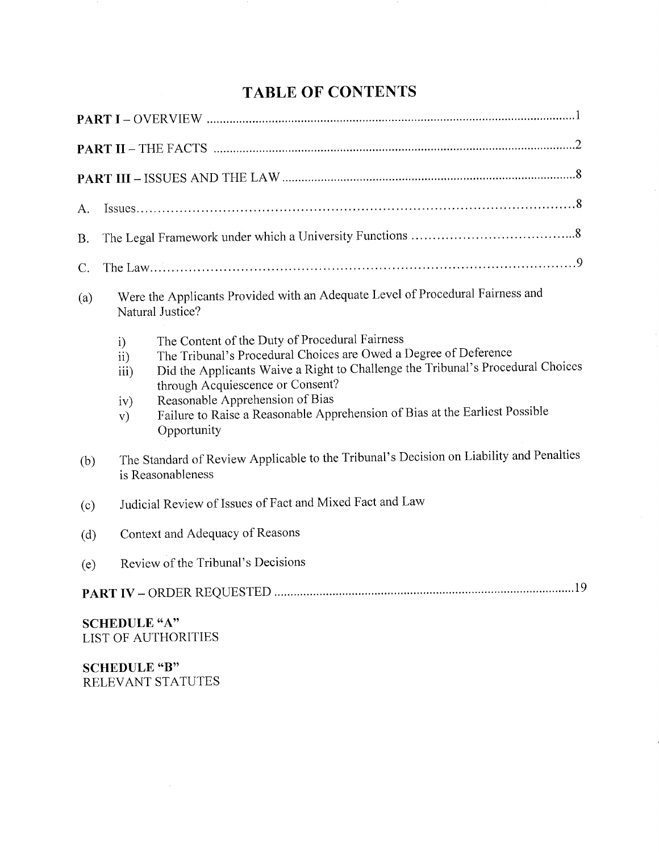# TABLE OF CONTENTS

| <b>PART I</b> – OVERVIEW $\ldots$ $\ldots$ $\ldots$ $\ldots$ $\ldots$ $\ldots$ $\ldots$ $\ldots$ $\ldots$ $\ldots$ $\ldots$ $\ldots$ $\ldots$ $\ldots$ $\ldots$                                                                                                                                                                                                                                              |
|--------------------------------------------------------------------------------------------------------------------------------------------------------------------------------------------------------------------------------------------------------------------------------------------------------------------------------------------------------------------------------------------------------------|
|                                                                                                                                                                                                                                                                                                                                                                                                              |
|                                                                                                                                                                                                                                                                                                                                                                                                              |
| А.                                                                                                                                                                                                                                                                                                                                                                                                           |
| <b>B.</b>                                                                                                                                                                                                                                                                                                                                                                                                    |
| C.                                                                                                                                                                                                                                                                                                                                                                                                           |
| Were the Applicants Provided with an Adequate Level of Procedural Fairness and<br>(a)<br>Natural Justice?                                                                                                                                                                                                                                                                                                    |
| The Content of the Duty of Procedural Fairness<br>i)<br>The Tribunal's Procedural Choices are Owed a Degree of Deference<br>ii)<br>Did the Applicants Waive a Right to Challenge the Tribunal's Procedural Choices<br>iii)<br>through Acquiescence or Consent?<br>Reasonable Apprehension of Bias<br>iv)<br>Failure to Raise a Reasonable Apprehension of Bias at the Earliest Possible<br>V)<br>Opportunity |
| The Standard of Review Applicable to the Tribunal's Decision on Liability and Penalties<br>(b)<br>is Reasonableness                                                                                                                                                                                                                                                                                          |
| Judicial Review of Issues of Fact and Mixed Fact and Law<br>(c)                                                                                                                                                                                                                                                                                                                                              |
| Context and Adequacy of Reasons<br>(d)                                                                                                                                                                                                                                                                                                                                                                       |
| Review of the Tribunal's Decisions<br>(e)                                                                                                                                                                                                                                                                                                                                                                    |
|                                                                                                                                                                                                                                                                                                                                                                                                              |
| <b>SCHEDULE "A"</b>                                                                                                                                                                                                                                                                                                                                                                                          |

LIST OF AUTHORITIES

SCHEDULE "B" RELEVANT STATUTES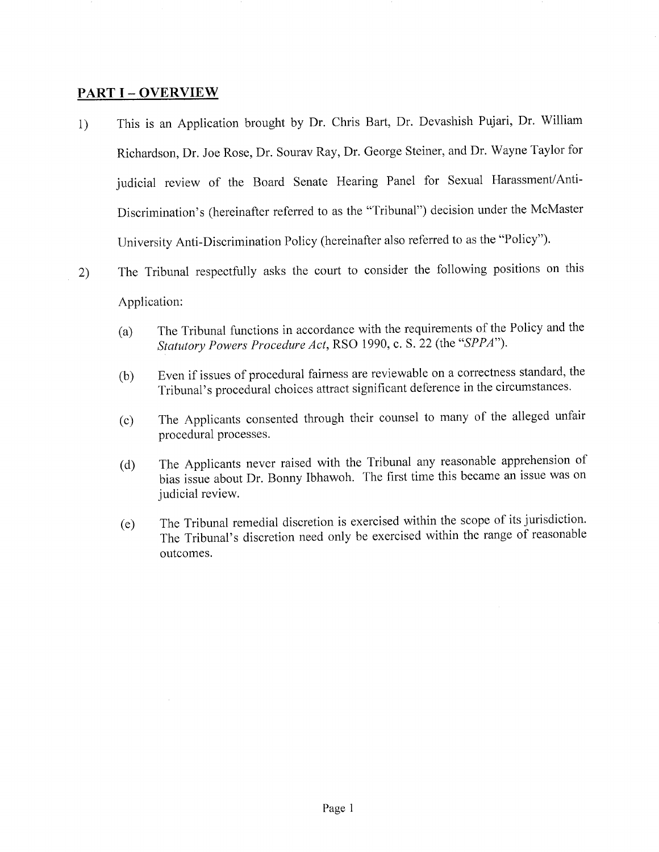# PART I - OVERVIEW

- 1) This is an Application brought by Dr. Chris Bart, Dr. Devashish Pujari, Dr. William Richardson, Dr. Joe Rose, Dr. Sourav Ray, Dr. George Steiner, and Dr. Wayne Taylor for judicial review of the Board Senate Hearing Panel for Sexual Harassment/Anti-Discrimination's (hereinafter referred to as the "Tribunal") decision under the McMaster University Anti-Discrimination Policy (hereinafter also referred to as the "Policy").
- 2) The Tribunal respectfully asks the court to consider the following positions on this Application:
	- (a) The Tribunal functions in accordance with the requirements of the Policy and the Statutory Powers Procedure Act, RSO 1990, c. S. 22 (the "SPPA").
	- (b) Even if issues of procedural fairness are reviewable on a correctness standard, the Tribunal's procedural choices attract significant deference in the circumstances.
	- (c) The Applicants consented through their counsel to many of the alleged unfair procedural processes.
	- (d) The Applicants never raised with the Tribunal any reasonable apprehension of bias issue about Dr. Bonny Ibhawoh. The first time this became an issue was on judicial review.
	- (e) The Tribunal remedial discretion is exercised within the scope of its jurisdiction. The Tribunal's discretion need only be exercised within the range of reasonable outcomes.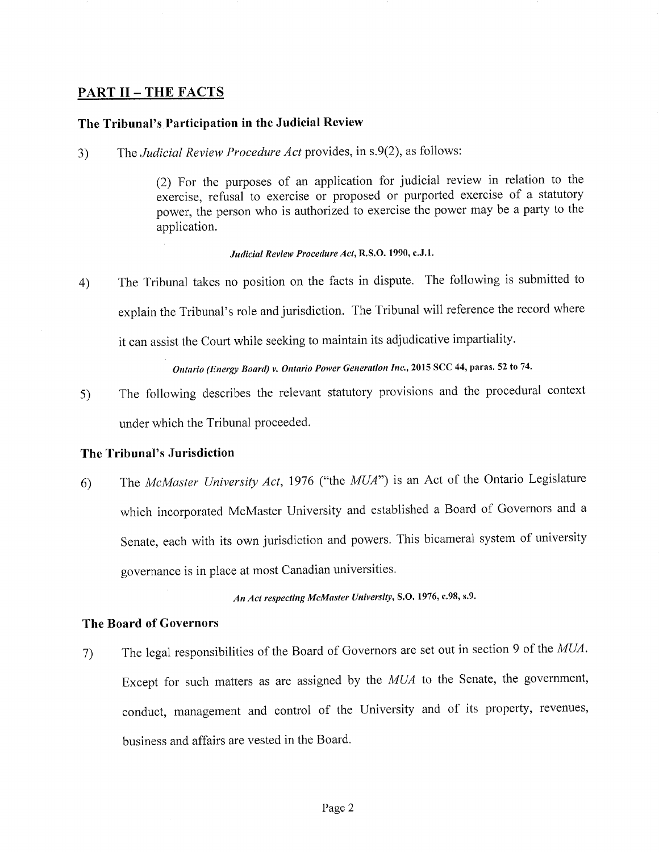# PART II – THE FACTS

## The Tribunal's Participation in the Judicial Review

3) The *Judicial Review Procedure Act* provides, in s.9(2), as follows:

(2) For the purposes of an application for judicial review in relation to the exercise, refusal to exercise or proposed or purported exercise of a statutory power, the person who is authorized to exercise the power may be a party to the application.

#### Judicial Review Procedure Act, R.S.O. 1990, c.J.l.

4) The Tribunal takes no position on the facts in dispute. The Following is submitted to explain the Tribunal's role and jurisdiction. The Tribunal will reference the record where it can assist the Court while seeking to maintain its adjudicative impartiality.

#### Ontario (Energy Board) v. Ontario Power Generation Inc., 2015 SCC 44, paras. 52 to 74.

5) The following describes the relevant statutory provisions and the procedural context under which the Tribunal proceeded.

#### The Tribunal's Jurisdiction

6) The McMaster University Act, 1976 ("the MUA") is an Act of the Ontario Legislature which incorporated McMaster University and established a Board of Governors and <sup>a</sup> Senate, each with its own jurisdiction and powers. This bicameral system of university governance is in place at most Canadian universities.

An Act respecting McMaster University, S.O. 1976, c.98, s.9.

## The Board of Governors

7) The legal responsibilities of the Board of Governors are set out in section 9 of the MUA. Except for such matters as are assigned by the MUA to the Senate, the government, conduct, management and control of the University and of its property, revenues, business and affairs are vested in the Board.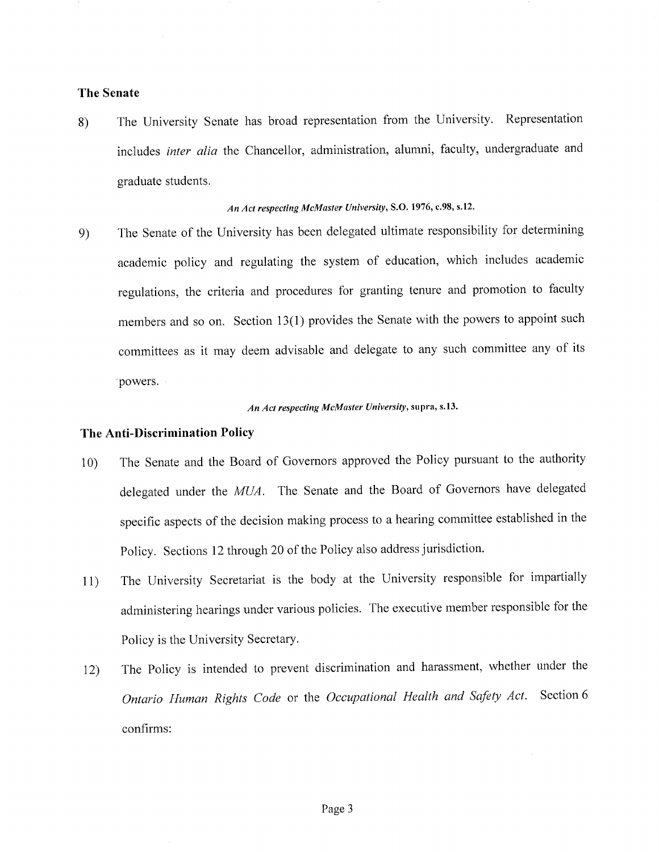#### The Senate

8) The University Senate has broad representation from the University. Representation includes inter alia the Chancellor, administration, alumni, faculty, undergraduate and graduate students.

#### An Act respecting McMaster University, S.O. 1976, c.98, s.12.

9) The Senate of the University has been delegated ultimate responsibility for determining academic policy and regulating the system of education, which includes academic regulations, the criteria and procedures for granting tenure and promotion to faculty members and so on. Section 13(1) provides the Senate with the powers to appoint such committees as it may deem advisable and delegate to any such committee any of its powers.

#### An Act respecting McMaster University, supra, s.13.

## The Anti-Discrimination Policy

- 10) The Senate and the Board of Governors approved the Policy pursuant to the authority delegated under the MUA. The Senate and the Board of Governors have delegated specific aspects of the decision making process to a hearing committee established in the Policy. Sections 12 through 20 of the Policy also address jurisdiction.
- 11) The University Secretariat is the body at the University responsible for impartially administering hearings under various policies. The executive member responsible for the Policy is the University Secretary.
- 12) The Policy is intended to prevent discrimination and harassment, whether under the Ontario Human Rights Code or the Occupational Health and Safety Act. Section 6 confirms: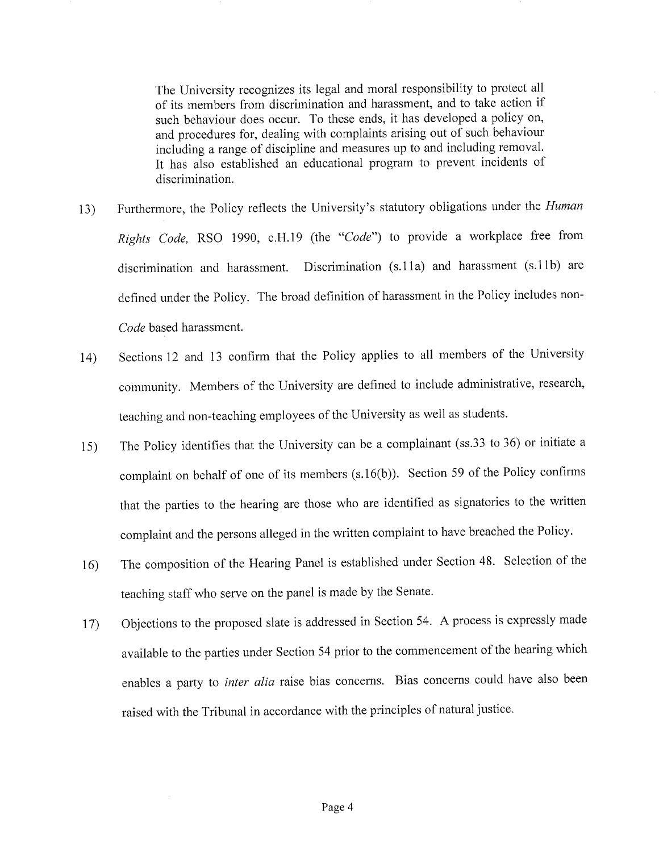The University recognizes its legal and moral responsibility to protect all of its members from discrimination and harassment, and to take action if such behaviour does occur. To these ends, it has developed a policy on, and procedures for, dealing with complaints arising out of such behaviour including a range of discipline and measures up to and including removal. It has also established an educational program to prevent incidents of discrimination.

- 13) Furthermore, the Policy reflects the University's statutory obligations under the Human Rights Code, RSO 1990, c.H.19 (the "Code") to provide a workplace free from discrimination and harassment. Discrimination (s.11a) and harassment (s.11b) are defined under the Policy. The broad definition of harassment in the Policy includes non-Code based harassment.
- 14) Sections 12 and 13 confirm that the Policy applies to all members of the University community. Members of the University are defined to include administrative, research, teaching and non-teaching employees of the University as well as students.
- 15) The Policy identifies that the University can be a complainant (ss.33 to 36) or initiate <sup>a</sup> complaint on behalf of one of its members (s.16(b)). Section 59 of the Policy confirms that the parties to the hearing are those who are identified as signatories to the written complaint and the persons alleged in the written complaint to have breached the Policy.
- 16) The composition of the Hearing Panel is established under Section 48. Selection of the teaching staff who serve on the panel is made by the Senate.
- 17) Objections to the proposed slate is addressed in Section 54. A process is expressly made available to the parties under Section 54 prior to the commencement of the hearing which enables a party to *inter alia* raise bias concerns. Bias concerns could have also been raised with the Tribunal in accordance with the principles of natural justice.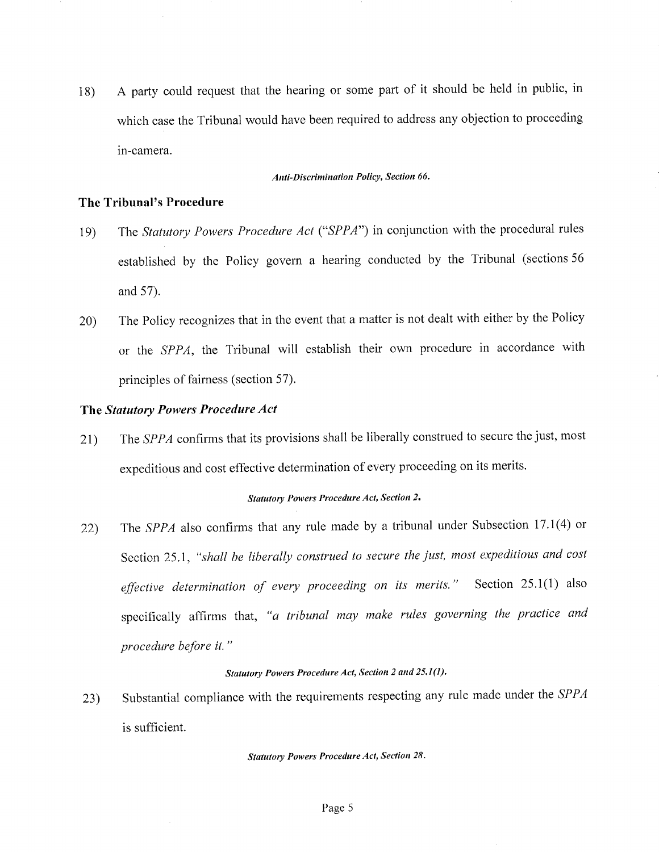18} <sup>A</sup>party could request that the hearing or some part of it should be held in public, in which case the Tribunal would have been required to address any objection to proceeding in-camera.

#### Anti-Discrimination Policy, Section 66.

## The Tribunal's Procedure

- 19) The Statutory Powers Procedure Act ("SPPA") in conjunction with the procedural rules established by the Policy govern a hearing conducted by the Tribunal (sections <sup>56</sup> and 57).
- 20) The Policy recognizes that in the event that a matter is not dealt with either by the Policy or the SPPA, the Tribunal will establish their own procedure in accordance with principles of fairness (section 57).

#### The Statutory Powers Procedure Act

21) The SPPA confirms that its provisions shall be liberally construed to secure the just, most expeditious and cost effective determination of every proceeding on its merits.

#### Statutory Powers Procedure Act, Section 2.

22) The SPPA also confirms that any rule made by a tribunal under Subsection 17.1(4) or Section 25.1, "shall be liberally construed to secure the just, most expeditious and cost effective determination of every proceeding on its merits." Section  $25.1(1)$  also specifically affirms that, "a tribunal may make rules governing the practice and procedure before it. "

## Statutory Powers Procedure Act, Section 2 and 25.1(1).

23) Substantial compliance with the requirements respecting any rule made under the SPPA is sufficient.

#### Statutory Powers Procedure Act, Section 28.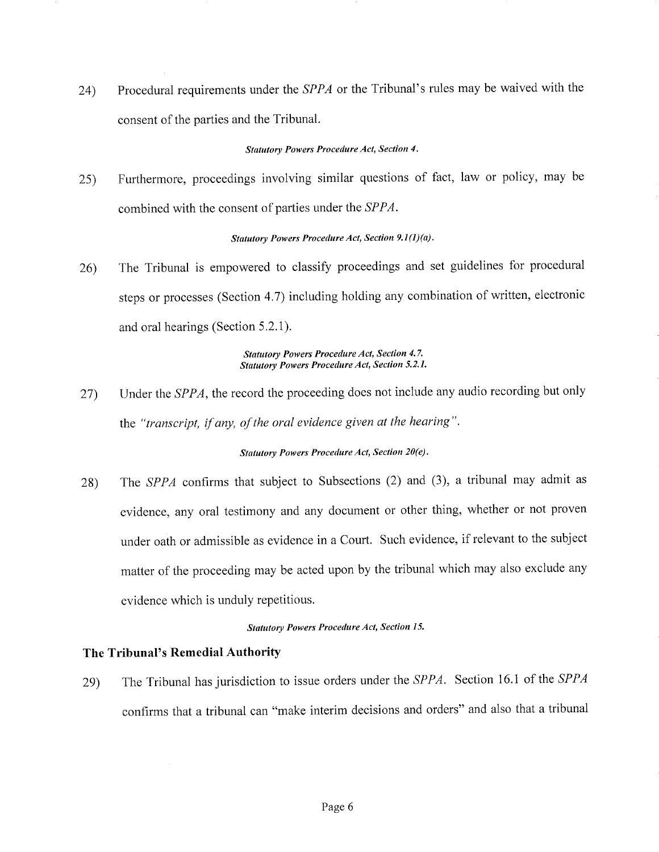24) Procedural requirements under the SPPA or the Tribunal's rules may be waived with the consent of the parties and the Tribunal.

#### Statutory Powers Procedure Act, Section 4.

25) Furthermore, proceedings involving similar questions of fact, law or policy, may be combined with the consent of parties under the SPPA.

## Statutory Powers Procedure Act, Section 9.1(1)(a).

26) The Tribunal is empowered to classify proceedings and set guidelines for procedural steps or processes (Section 4.7) including holding any combination of written, electronic and oral hearings (Section 5.2.1).

#### Statutory Powers Procedure Act, Section 4.7. Statutory Powers Procedure Act, Section 5.2.1.

27) Under the SPPA, the record the proceeding does not include any audio recording but only the "transcript, if any, of the oral evidence given at the hearing ".

## Statutory Powers Procedure Act, Section 20(e).

28) The SPPA confirms that subject to Subsections (2) and (3), a tribunal may admit as evidence, any oral testimony and any document or other thing, whether or not proven under oath or admissible as evidence in a Court. Such evidence, if relevant to the subject matter of the proceeding may be acted upon by the tribunal which may also exclude any evidence which is unduly repetitious.

#### Statutory Powers Procedure Act, Section 15.

## The Tribunal's Remedial Authority

29) The Tribunal has jurisdiction to issue orders under the SPPA. Section 16.1 of the SPPA confirms that a tribunal can "make interim decisions and orders" and also that a tribunal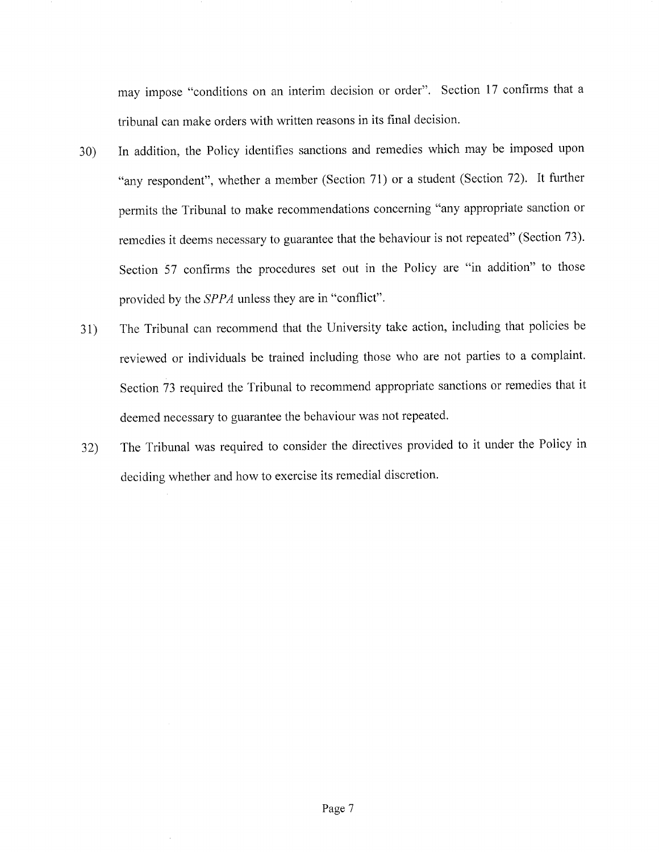may impose "conditions on an interim decision or order". Section 17 confirms that <sup>a</sup> tribunal can make orders with written reasons in its final decision.

- 30) In addition, the Policy identifies sanctions and remedies which may be imposed upon "any respondent", whether a member (Section 71) or a student (Section 72). It further permits the Tribunal to make recommendations concerning "any appropriate sanction or remedies it deems necessary to guarantee that the behaviour is not repeated" (Section 73). Section 57 confirms the procedures set out in the Policy are "in addition" to those provided by the SPPA unless they are in "conflict".
- 31) The Tribunal can recommend that the University take action, including that policies be reviewed or individuals be trained including those who are not parties to a complaint. Section 73 required the Tribunal to recommend appropriate sanctions or remedies that it deemed necessary to guarantee the behaviour was not repeated.
- 32) The Tribunal was required to consider the directives provided to it under the Policy in deciding whether and how to exercise its remedial discretion.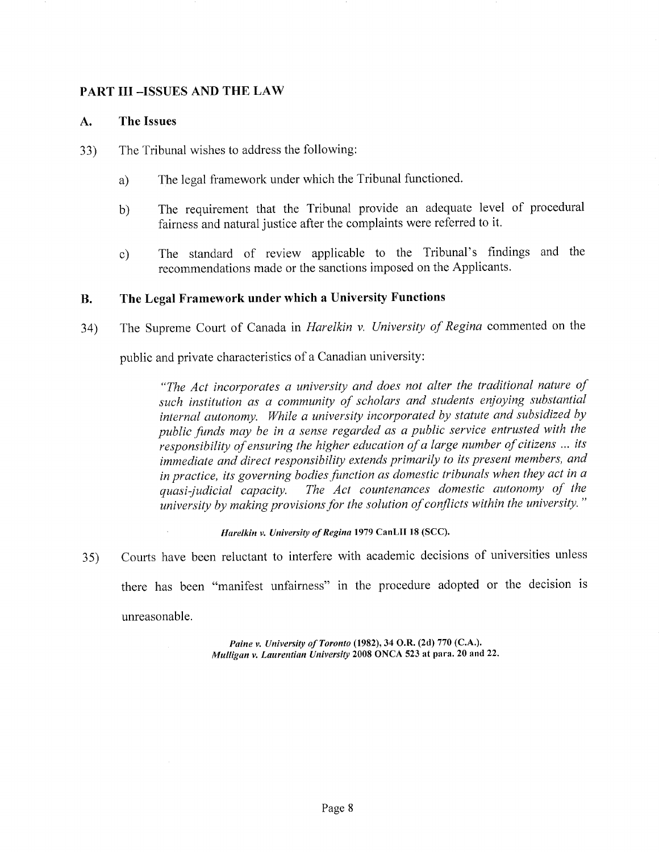## PART III —ISSUES AND THE LAW

## A. The Issues

- 33) The Tribunal wishes to address the following:
	- a) The legal framework under which the Tribunal functioned.
	- b) The requirement that the Tribunal provide an adequate level of procedural Fairness and natural justice after the complaints were referred to it.
	- c) The standard of review applicable to the Tribunal's findings and the recommendations made or the sanctions imposed on the Applicants.

# B. The Legal Framework under which a University Functions

34) The Supreme Court of Canada in Harelkin v. University of Regina commented on the

public and private characteristics of a Canadian university:

"The Act incorporates a university and does not alter the traditional nature of such institution as a community of scholars and students enjoying substantial internal autonomy. While a university incorporated by statute and subsidized by public funds may be in a sense regarded as a public service entrusted with the responsibility of ensuring the higher education of a large number of citizens ... its immediate and direct responsibility extends primarily to its present members, and in practice, its governing bodies function as domestic tribunals when they act in a quasi judicial capacity. The Act countenances domestic autonomy of the university by making provisions for the solution of conflicts within the university. "

Harelkin v. University of Regina 1979 CanLII 18 (SCC).

35) Courts have been reluctant to interfere with academic decisions of universities unless

there has been "manifest unfairness" in the procedure adopted or the decision is

unreasonable.

Paine v. University of Toronto (1982), 34 O.R. (2d) 770 (C.A.). Mulligan v. Laurentian University 2008 ONCA 523 at para. 20 and 22.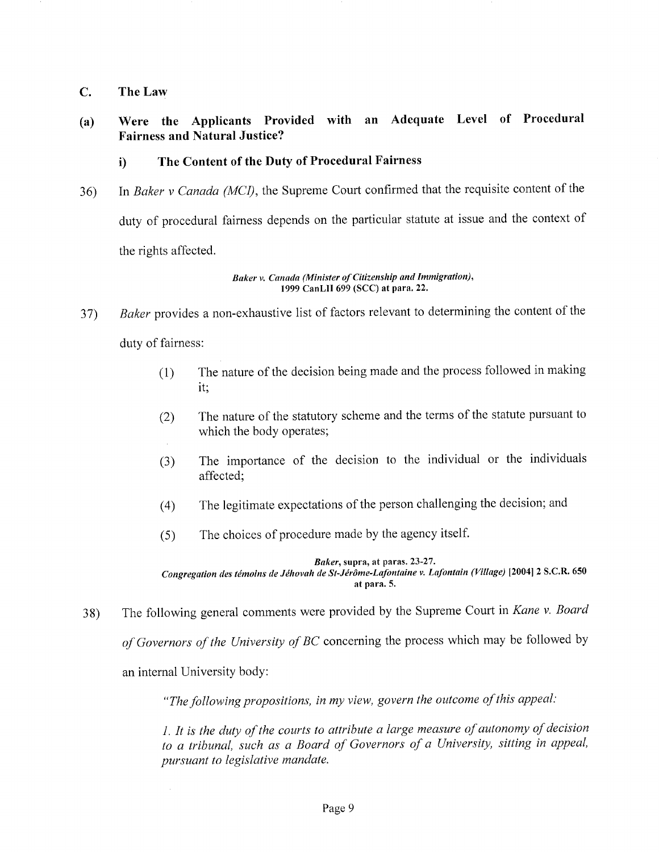## C. The Law

# (a) Were the Applicants Provided with an Adequate Level of Procedural Fairness and Natural Justice?

## i) The Content of the Duty of Procedural Fairness

36) In Baker v Canada (MCI), the Supreme Court confirmed that the requisite content of the duty of procedural fairness depends on the particular statute at issue and the context of the rights affected.

#### Baker v. Canada (Minister of Citizenship and Immigration), 1999 CanLII 699 (SCC) at pars. 22.

- 37) Baker provides a non-exhaustive list of factors relevant to determining the content of the duty of fairness:
	- (1) The nature of the decision being made and the process followed in making it;
	- (2) The nature of the statutory scheme and the terms of the statute pursuant to which the body operates;
	- (3) The importance of the decision to the individual or the individuals affected;
	- (4) The legitimate expectations of the person challenging the decision; and
	- (5) The choices of procedure made by the agency itself.

Baker, supra, at paras. 23-27. Congregation des témoins de Jéhovah de St-Jérôme-Lafontaine v. Lafontain (Village) [2004] 2 S.C.R. 650 at pars. 5.

38) The following general comments were provided by the Supreme Court in Kane v. Board of Governors of the University of BC concerning the process which may be followed by an internal University body:

"The following propositions, in my view, govern the outcome of this appeal:

1. It is the duty of the courts to attribute a large measure of autonomy of decision to a tribunal, such as a Board of Governors of a University, sitting in appeal, pursuant to legislative mandate.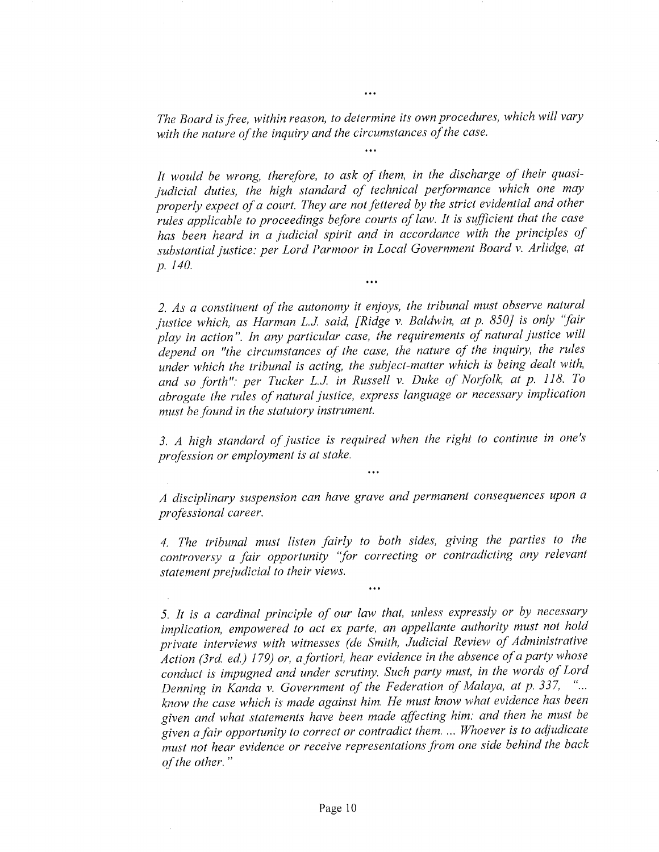The Board is free, within reason, to determine its own procedures, which will vary with the nature of the inquiry and the circumstances of the case.

 $\ddotsc$ 

It would be wrong, therefore, to ask of them, in the discharge of their quasijudicial duties, the high standard of technical performance which one may properly expect of a court. They are not fettered by the strict evidential and other rules applicable to proceedings before courts of law. It is sufficient that the case has been heard in a judicial spirit and in accordance with the principles of substantial justice: per Lord Parmoor in Local Government Board v. Arlidge, at p. 140.

 $\ddotsc$ 

2. As a constituent of the autonomy it enjoys, the tribunal must observe natural justice which, as Harman L.J. said, [Ridge v. Baldwin, at p. 850] is only "fair play in action". In any particular case, the requirements of natural justice will depend on "the circumstances of the case, the nature of the inquiry, the rules under which the tribunal is acting, the subject-matter which is being dealt with, and so forth": per Tucker L.J. in Russell v. Duke of Norfolk, at p. 118. To abrogate the rules of natural justice, express language or necessary implication must be found in the statutory instrument.

3. A high standard of justice is required when the right to continue in one's profession or employment is at stake.

<sup>A</sup>disciplinary suspension can have grave and permanent consequences upon <sup>a</sup> professional career.

4. The tribunal must listen fairly to both sides, giving the parties to the controversy a fair opportunity "for correcting or contradicting any relevant statement prejudicial to their views.

. . .

5. It is a cardinal principle of our law that, unless expressly or by necessary implication, empowered to act ex parte, an appellante authority must not hold private interviews with witnesses (de Smith, Judicial Review of Administrative Action (3rd. ed.) 179) or, <sup>a</sup>fortiori, hear evidence in the absence of a party whose conduct is impugned and under scrutiny. Such parry must, in the words of Lord Denning in Kanda v. Government of the Federation of Malaya, at p. 337, "... know the case which is made against him. He must know what evidence has been given and what statements have been made affecting him: and then he must be given a fair opportunity to correct or contradict them.... Whoever is to adjudicate must not hear evidence or receive representations from one side behind the back of the other. "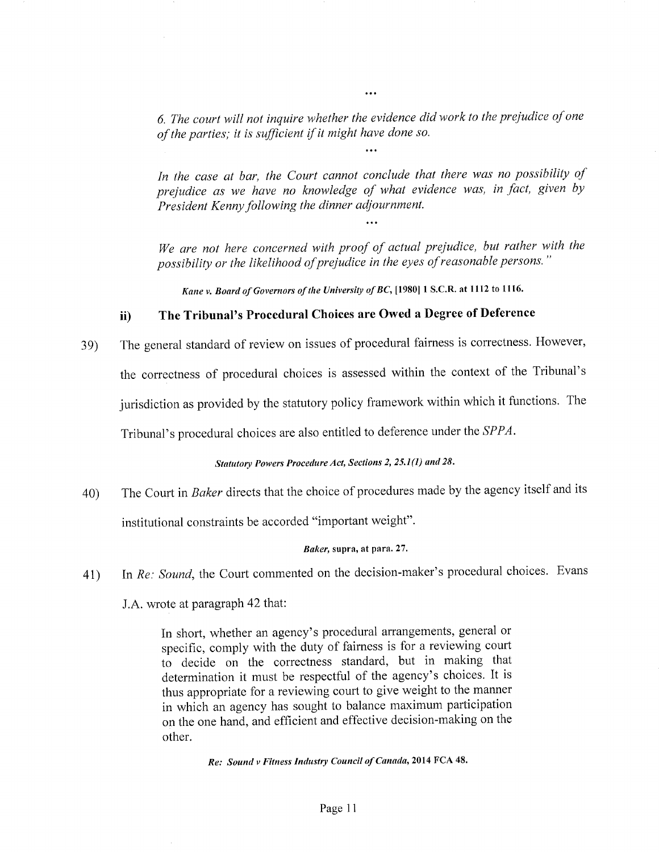6. The court will not inquire whether the evidence did work to the prejudice of one of the parties; it is sufficient if it might have done so.

 $\ddotsc$ 

In the case at bar, the Court cannot conclude that there was no possibility of prejudice as we have no knowledge of what evidence was, in fact, given by President Kenny following the dinner adjournment.

We are not here concerned with proof of actual prejudice, but rather with the possibility or the likelihood of prejudice in the eyes of reasonable persons."

Kane v. Board of Governors of the University of BC, [1980] 1 S.C.R. at 1112 to 1116.

# ii) The Tribunal's Procedural Choices are Owed a Degree of Deference

39) The general standard of review on issues of procedural fairness is correctness. However, the correctness of procedural choices is assessed within the context of the Tribunal's jurisdiction as provided by the statutory policy framework within which it functions. The Tribunal's procedural choices are also entitled to deference under the SPPA.

## Statutory Powers Procedure Act, Sections 2, 25.1(1) and 28.

40) The Court in Baker directs that the choice of procedures made by the agency itself and its institutional constraints be accorded "important weight".

## Baker, supra, at pars. 27.

41) In Re: Sound, the Court commented on the decision-maker's procedural choices. Evans

J.A. wrote at paragraph 42 that:

In short, whether an agency's procedural arrangements, general or specific, comply with the duty of fairness is for a reviewing court to decide on the correctness standard, but in making that determination it must be respectful of the agency's choices. It is thus appropriate for a reviewing court to give weight to the manner in which an agency has sought to balance maximum participation on the one hand, and efficient and effective decision-making on the other.

Re: Sound v Fitness Industry Council of Canada, 2014 FCA 48.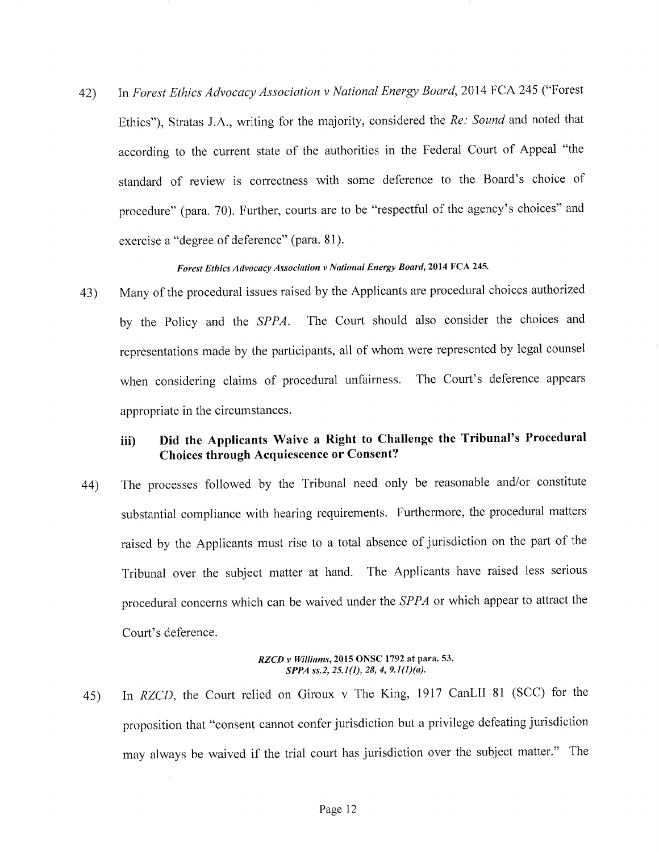42) In Forest Ethics Advocacy Association v National Energy Board, 2014 FCA 245 ("Forest Ethics"), Stratas J.A., writing for the majority, considered the Re: Sound and noted that according to the current state of the authorities in the Federal Court of Appeal "the standard of review is correctness with some deference to the Board's choice of procedure" (para. 70). Further, courts are to be "respectful of the agency's choices" and exercise a "degree of deference" (para. 81).

## Forest Ethics Advocacy Association v National Energy Board, 2014 FCA 245.

43) Many of the procedural issues raised by the Applicants are procedural choices authorized by the Policy and the SPPA. The Court should also consider the choices and representations made by the participants, all of whom were represented by legal counsel when considering claims of procedural unfairness. The Court's deference appears appropriate in the circumstances.

# iii) Did the Applicants Waive a Right to Challenge the Tribunal's Procedural Choices through Acquiescence or Consent?

44) The processes followed by the Tribunal need only be reasonable and/or constitute substantial compliance with hearing requirements. Furthermore, the procedural matters raised by the Applicants must rise to a total absence of jurisdiction on the part of the Tribunal over the subject matter at hand. The Applicants have raised less serious procedural concerns which can be waived under the SPPA or which appear to attract the Court's deference.

#### $RZCD$  v Williams, 2015 ONSC 1792 at para. 53.  $SPPA$  ss.2, 25.1(1), 28, 4, 9.1(1)(a).

45) In RZCD, the Court relied on Giroux v The King, 1917 CanLII 81 (SCC) for the proposition that "consent cannot confer jurisdiction but a privilege defeating jurisdiction may always be waived if the trial court has jurisdiction over the subject matter." The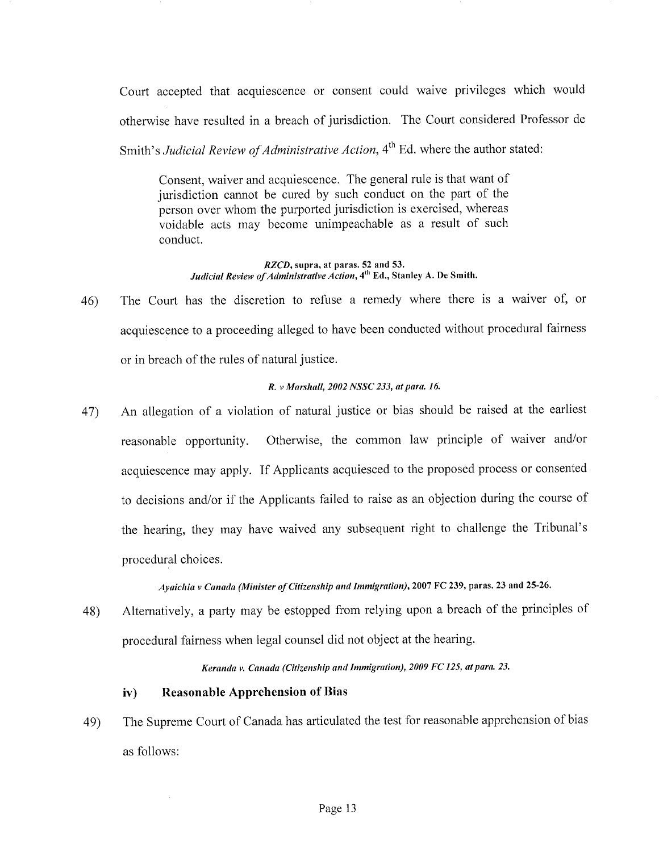Court accepted that acquiescence or consent could waive privileges which would otherwise have resulted in a breach of jurisdiction. The Court considered Professor de

Smith's Judicial Review of Administrative Action, 4<sup>th</sup> Ed. where the author stated:

Consent, waiver and acquiescence. The general rule is that want of jurisdiction cannot be cured by such conduct on the part of the person over whom the purported jurisdiction is exercised, whereas voidable acts may become unimpeachable as a result of such conduct.

#### RZCD, supra, at paras. 52 and 53. Judicial Review of Administrative Action, 4<sup>th</sup> Ed., Stanley A. De Smith.

46) The Court has the discretion to refuse a remedy where there is a waiver of, or acquiescence to a proceeding alleged to have been conducted without procedural fairness or in breach of the rules of natural justice.

#### $R. v$  Marshall, 2002 NSSC 233, at para. 16.

47) An allegation of a violation of natural justice or bias should be raised at the earliest reasonable opportunity. Otherwise, the common law principle of waiver and/or acquiescence may apply. If Applicants acquiesced to the proposed process or consented to decisions and/or if the Applicants failed to raise as an objection during the course of the hearing, they may have waived any subsequent right to challenge the Tribunal's procedural choices.

## Ayaichia v Canada (Minister of Citizenship and Immigration), 2007 FC 239, paras. 23 and 25-26.

48) Alternatively, a party may be estopped from relying upon a breach of the principles of procedural fairness when legal counsel did not object at the hearing.

Keranda v. Canada (Citizenship and Immigration), 2009 FC 125, at para. 23.

## iv) Reasonable Apprehension of Bias

49) The Supreme Court of Canada has articulated the test for reasonable apprehension of bias as follows: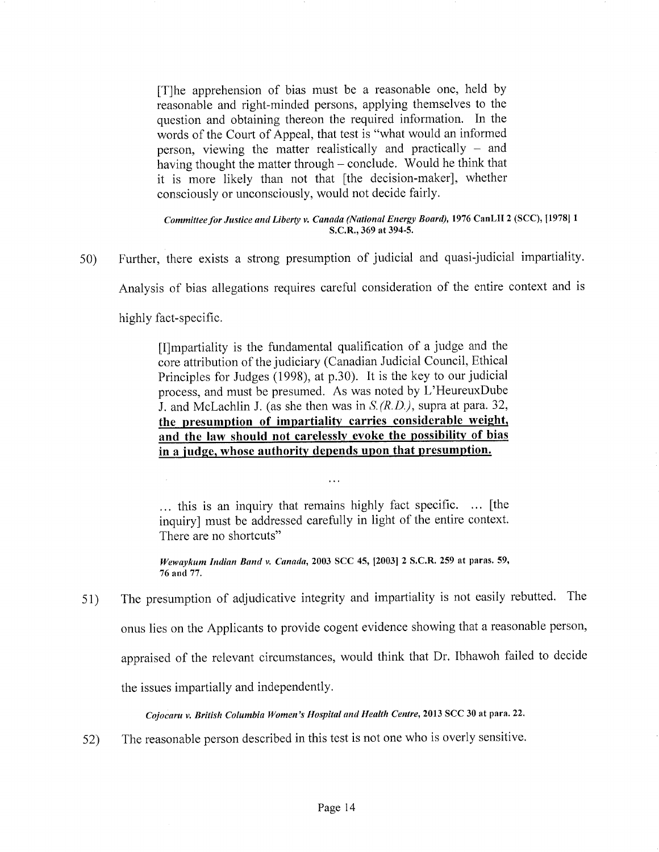[T]he apprehension of bias must be a reasonable one, held by reasonable and right-minded persons, applying themselves to the question and obtaining thereon the required information. In the words of the Court of Appeal, that test is "what would an informed person, viewing the matter realistically and practically  $-$  and having thought the matter through – conclude. Would he think that it is more likely than not that [the decision-maker], whether consciously or unconsciously, would not decide fairly.

Committee for Justice and Liberty v. Canada (National Energy Board), 1976 CanLII 2 (SCC), [1978] 1 S.C.R., 369 at 394-5.

50) Further, there exists a strong presumption of judicial and quasi judicial impartiality.

Analysis of bias allegations requires careful consideration of the entire context and is

highly fact-specific.

[I]mpartiality is the fundamental qualification of a judge and the core attribution of the judiciary (Canadian Judicial Council, Ethical Principles for Judges (1998), at p.30). It is the key to our judicial process, and must be presumed. As was noted by L'HeureuxDube J. and McLachlin J. (as she then was in  $S_r(R,D_r)$ , supra at para. 32, the presumption of impartiality carries considerable weight, and the law should not carelessly evoke the possibility of bias in a judge, whose authority depends upon that presumption.

... this is an inquiry that remains highly fact specific. ... [the inquiry] must be addressed carefully in light of the entire context. There are no shortcuts"

 $\dddot{\phantom{0}}$ 

Wewaykum Indian Band v. Canada, 2003 SCC 45, [2003] 2 S.C.R. 259 at paras. 59, 76 and 77.

51) The presumption of adjudicative integrity and impartiality is not easily rebutted. The onus lies nn the Applicants to provide cogent evidence showing that a reasonable person, appraised of the relevant circumstances, would think that Dr. Ibhawoh failed to decide the issues impartially and independently.

Cojocaru v. British Columbia Women's Hospital and Health Centre, 2013 SCC 30 at para. 22.

52) The reasonable person described in this test is not one who is overly sensitive.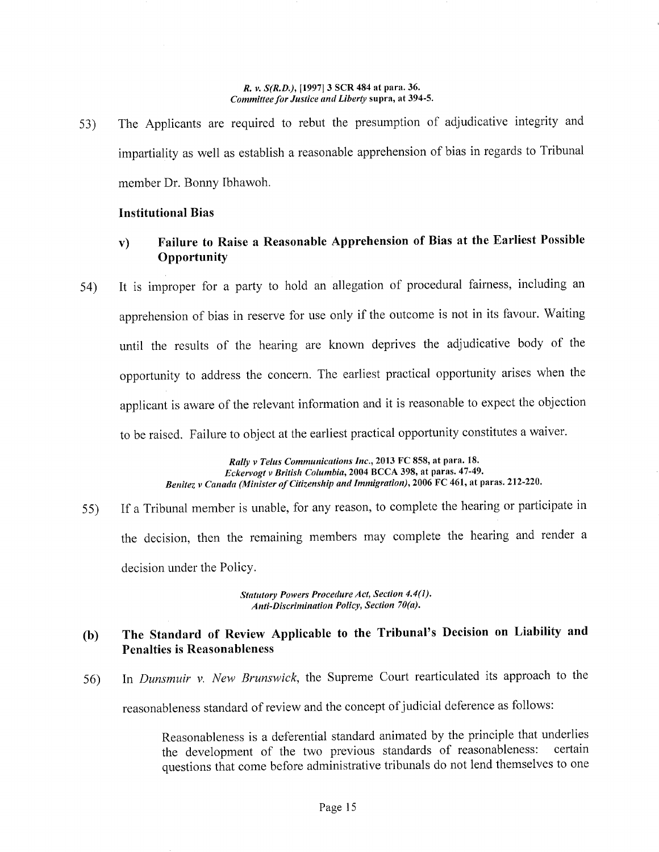#### R. v. S(R.D.), [1997] 3 SCR 484 at pars. 36. Committee for Justice and Liberty supra, at 394-5.

53) The Applicants are required to rebut the presumption of adjudicative integrity and impartiality as well as establish a reasonable apprehension of bias in regards to Tribunal member Dr. Bonny Ibhawoh.

## Institutional Bias

# v) Failure to Raise a Reasonable Apprehension of Bias at the Earliest Possible **Opportunity**

54) It is improper for a party to hold an allegation of procedural fairness, including an apprehension of bias in reserve for use only if the outcome is not in its favour. Waiting until the results of the hearing are known deprives the adjudicative body of the opportunity to address the concern. The earliest practical opportunity arises when the applicant is aware of the relevant information and it is reasonable to expect the objection to be raised. Failure to object at the earliest practical opportunity constitutes a waiver.

> Rally v Telus Communications Inc., 2013 FC 858, at para. 18. Eckervogt v British Columbia, 2004 BCCA 398, at paras. 47-49. Benitez v Canada (Minister of Citizenship and Immigration), 2006 FC 461, at paras. 212-220.

55) IF a Tribunal member is unable, for any reason, to complete the hearing or participate in the decision, then the remaining members may complete the hearing and render <sup>a</sup> decision under the Policy.

> Statutory Powers Procedure Act, Section 4.4(1). Anti-Discrimination Policy, Section 70(a).

# (b) The Standard of Review Applicable to the Tribunal's Decision on Liability and Penalties is Reasonableness

56) In Dunsmuir v. New Brunswick, the Supreme Court rearticulated its approach to the reasonableness standard of review and the concept of judicial deference as follows:

> Reasonableness is a deferential standard animated by the principle that underlies the development of the two previous standards of reasonableness: certain questions that come before administrative tribunals do not lend themselves to one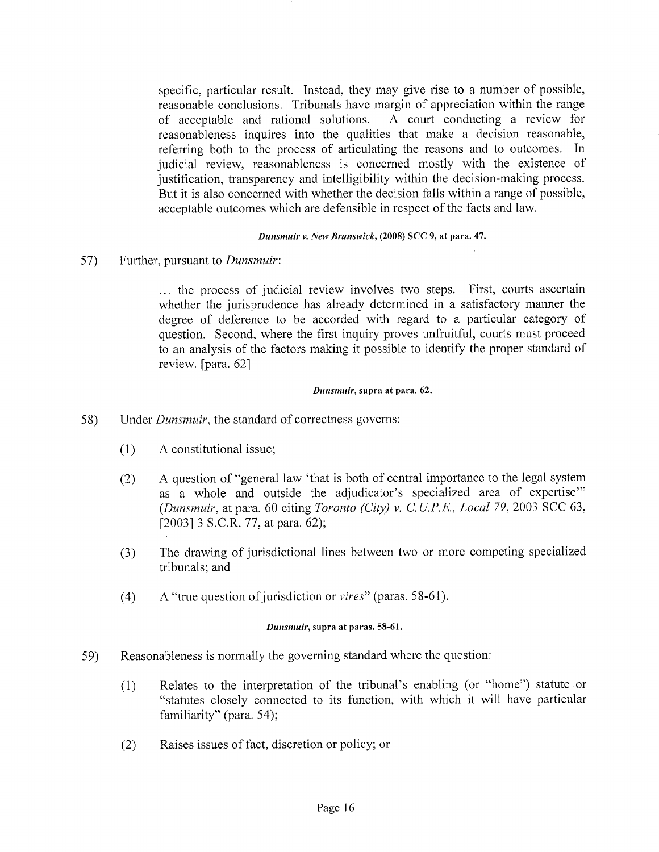specific, particular result. Instead, they may give rise to a number of possible, reasonable conclusions. Tribunals have margin of appreciation within the range of acceptable and rational solutions. A court conducting a review for reasonableness inquires into the qualities that make a decision reasonable, referring both to the process of articulating the reasons and to outcomes. In judicial review, reasonableness is concerned mostly with the existence of justification, transparency and intelligibility within the decision-making process. But it is also concerned with whether the decision falls within a range of possible, acceptable outcomes which are defensible in respect of the Facts and law.

#### Dunsmuir v. New Brunswick, (2008) SCC 9, at para. 47.

## 57) Further, pursuant to Dunsmuir:

... the process of judicial review involves two steps. First, courts ascertain whether the jurisprudence has already determined in a satisfactory manner the degree of deference to be accorded with regard to a particular category of question. Second, where the first inquiry proves unfruitful, courts must proceed to an analysis of the factors making it possible to identify the proper standard of review. [para. 62]

#### Dunsmuir, supra at para. 62.

- 58) Under Dunsmuir, the standard of correctness governs:
	- (1) A constitutional issue;
	- (2) A question of "general law `that is both of central importance to the legal system as a whole and outside the adjudicator's specialized area of expertise"' (Dunsmuir, at para. 60 citing Toronto (City) v. C. U.P.E., Local 79, 2003 SCC 63, [2003] 3 S.C.R. 77, at para. 62);
	- (3) The drawing of jurisdictional lines between two or more competing specialized tribunals; and
	- (4) A "true question of jurisdiction or *vires*" (paras. 58-61).

#### Dunsmuir, supra at paras. 58-61.

- 59) Reasonableness is normally the governing standard where the question:
	- (1) Relates to the interpretation of the tribunal's enabling (or "home") statute or "statutes closely connected to its function, with which it will have particular familiarity" (para. 54);
	- (2) Raises issues of fact, discretion or policy; or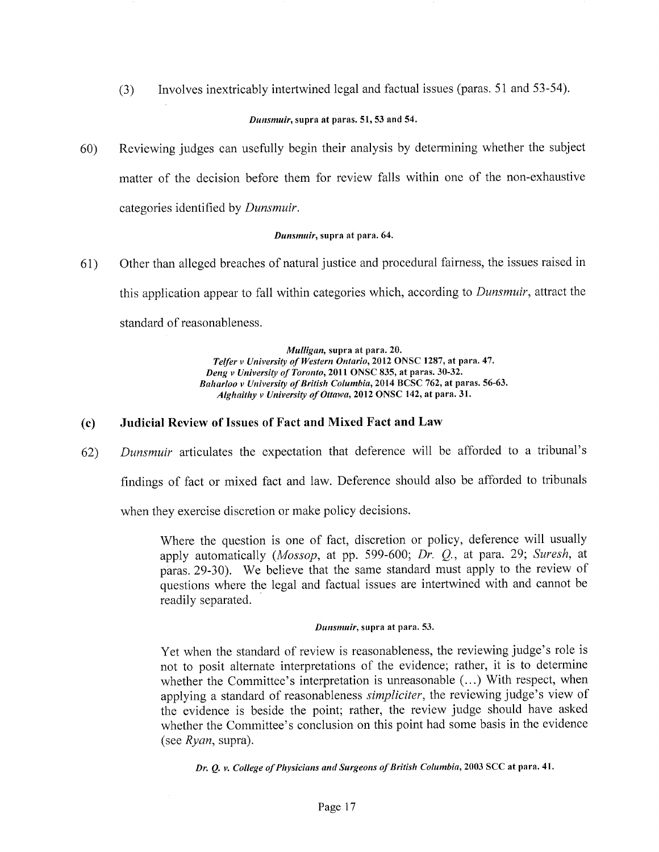(3) Involves inextricably intertwined legal and factual issues (paras. 51 and 53-54).

## Dunsmuir, supra at paras. 51, 53 and 54.

60) Reviewing judges can usefully begin their analysis by determining whether the subject matter of the decision before them for review falls within one of the non-exhaustive categories identified by Dunsmuir.

## Dunsmuir, supra at para. 64.

61) Other than alleged breaches of natural justice and procedural fairness, the issues raised in this application appear to fall within categories which, according to Dunsmuir, attract the standard of reasonableness.

> Mulligan, supra at para. 20. Telfer v University of Western Ontario, 2012 ONSC 1287, at pars. 47. Deng v University of Toronto, 2011 ONSC 835, at paras. 30-32. Baharloo v University of British Columbia, 2014 BCSC 762, at paras. 56-63. Alghaithy y University of Ottawa, 2012 ONSC 142, at para. 31.

## (c) Judicial Review of Issues of Fact and Mixed Fact and Law

62) Dunsmuir articulates the expectation that deference will be afforded to a tribunal's findings of fact or mixed fact and law. Deference should also be afforded to tribunals when they exercise discretion or make policy decisions.

Where the question is one of fact, discretion or policy, deference will usually

apply automatically (Mossop, at pp. 599-600; Dr.  $Q_i$ , at para. 29; Suresh, at paras. 29-30). We believe that the same standard must apply to the review of questions where the legal and factual issues are intertwined with and cannot be readily separated.

## Dunsmuir, supra at para. 53.

Yet when the standard of review is reasonableness, the reviewing judge's role is not to posit alternate interpretations of the evidence; rather, it is to determine whether the Committee's interpretation is unreasonable (...) With respect, when applying a standard of reasonableness *simpliciter*, the reviewing judge's view of the evidence is beside the point; rather, the review judge should have asked whether the Committee's conclusion on this point had some basis in the evidence (see Ryan, supra).

Dr. O. v. College of Physicians and Surgeons of British Columbia, 2003 SCC at para. 41.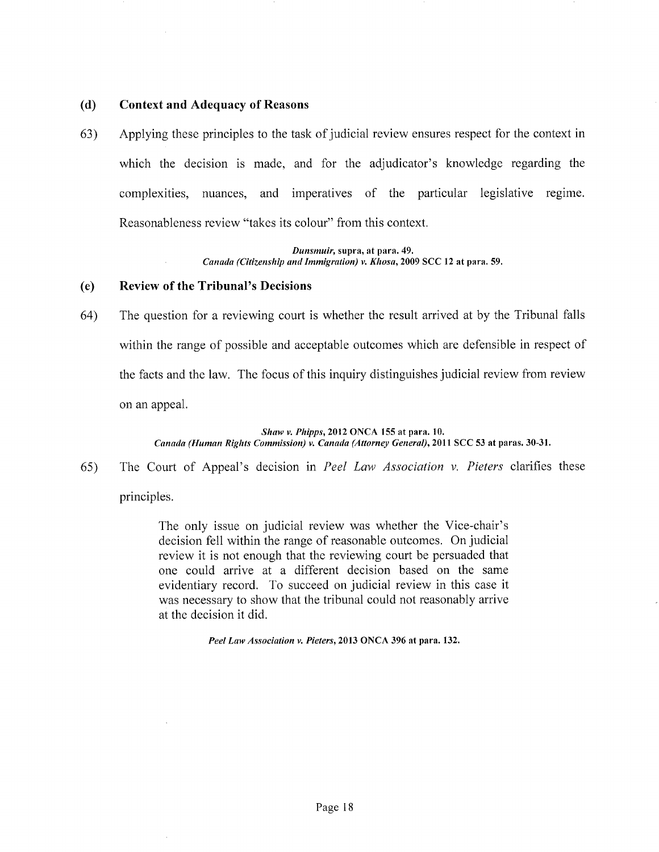## (d) Context and Adequacy of Reasons

63) Applying these principles to the task of judicial review ensures respect for the context in which the decision is made, and for the adjudicator's knowledge regarding the complexities, nuances, and imperatives of the particular legislative regime. Reasonableness review "takes its colour" from this context.

> Dunsmuir, supra, at para. 49. Canada (Citizenship and Immigration) v. Khosa, 2009 SCC 12 at para. 59.

## (e) Review of the Tribunal's Decisions

64) The question for a reviewing court is whether the result arrived at by the Tribunal falls within the range of possible and acceptable outcomes which are defensible in respect of the facts and the law. The focus of this inquiry distinguishes judicial review from review on an appeal.

> Shaw v. Phipps, 2012 ONCA 155 at para. 10. Canada (Human Rights Commission) v. Canada (Attorney General), 2011 SCC 53 at paras. 30-31.

65) The Court of Appeal's decision in Peel Law Association v. Pieters clarifies these principles.

> The only issue on judicial review was whether the Vice-chair's decision fell within the range of reasonable outcomes. On judicial review it is not enough that the reviewing court be persuaded that one could arrive at a different decision based on the same evidentiary record. To succeed on judicial review in this case it was necessary to show that the tribunal could not reasonably arrive at the decision it did.

> > Peel Law Association v. Pieters, 2013 ONCA 396 at para. 132.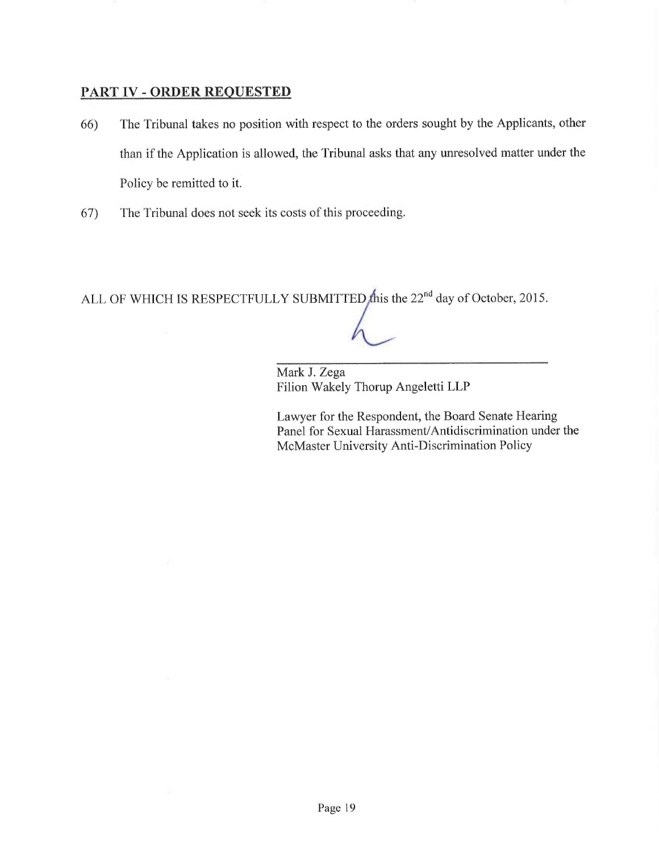# PART IV -ORDER REQUESTED

- 66) The Tribunal takes no position with respect to the orders sought by the Applicants, other than if the Application is allowed, the Tribunal asks that any unresolved matter under the Policy be remitted to it.
- 67) The Tribunal does not seek its costs of this proceeding.

ALL OF WHICH IS RESPECTFULLY SUBMITTED this the 22<sup>nd</sup> day of October, 2015.

Mark J. Zega Filion Wakely Thorup Angeletti LLP

Lawyer for the Respondent, the Board Senate Hearing Panel for Sexual Harassment/Antidiscrimination under the McMaster University Anti-Discrimination Policy